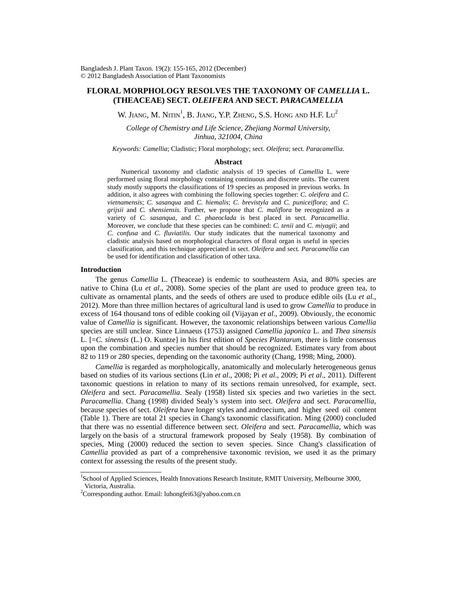# **FLORAL MORPHOLOGY RESOLVES THE TAXONOMY OF** *CAMELLIA* **L. (THEACEAE) SECT.** *OLEIFERA* **AND SECT.** *PARACAMELLIA*

W. Jiang, M. Nitin<sup>1</sup>, B. Jiang, Y.P. Zheng, S.S. Hong and H.F.  $\mathrm{Lu}^2$ 

*College of Chemistry and Life Science, Zhejiang Normal University, Jinhua, 321004, China* 

*Keywords: Camellia*; Cladistic; Floral morphology; sect. *Oleifera*; sect. *Paracamellia*.

#### **Abstract**

 Numerical taxonomy and cladistic analysis of 19 species of *Camellia* L. were performed using floral morphology containing continuous and discrete units. The current study mostly supports the classifications of 19 species as proposed in previous works. In addition, it also agrees with combining the following species together: *C. oleifera* and *C. vietnamensis*; *C. sasanqua* and *C. hiemalis*; *C. brevistyla* and *C. puniceiflora*; and *C. grijsii* and *C. shensiensis.* Further, we propose that *C. maliflora* be recognized as a variety of *C. sasanqua*, and *C. phaeoclada* is best placed in sect*. Paracamellia*. Moreover, we conclude that these species can be combined: *C. tenii* and *C. miyagii*; and *C. confusa* and *C. fluviatilis*. Our study indicates that the numerical taxonomy and cladistic analysis based on morphological characters of floral organ is useful in species classification, and this technique appreciated in sect. *Oleifera* and sect*. Paracamellia* can be used for identification and classification of other taxa.

### **Introduction**

The genus *Camellia* L. (Theaceae) is endemic to southeastern Asia, and 80% species are native to China (Lu *et al*., 2008). Some species of the plant are used to produce green tea, to cultivate as ornamental plants, and the seeds of others are used to produce edible oils (Lu *et al*., 2012). More than three million hectares of agricultural land is used to grow *Camellia* to produce in excess of 164 thousand tons of edible cooking oil (Vijayan *et al*., 2009). Obviously, the economic value of *Camellia* is significant. However, the taxonomic relationships between various *Camellia* species are still unclear. Since Linnaeus (1753) assigned *Camellia japonica* L. and *Thea sinensis* L. [=*C. sinensis* (L.) O. Kuntze] in his first edition of *Species Plantarum*, there is little consensus upon the combination and species number that should be recognized. Estimates vary from about 82 to 119 or 280 species, depending on the taxonomic authority (Chang, 1998; Ming, 2000).

*Camellia* is regarded as morphologically, anatomically and molecularly heterogeneous genus based on studies of its various sections (Lin *et al*., 2008; Pi *et al*., 2009; Pi *et al*., 2011). Different taxonomic questions in relation to many of its sections remain unresolved, for example, sect. *Oleifera* and sect. *Paracamellia*. Sealy (1958) listed six species and two varieties in the sect. *Paracamellia*. Chang (1998) divided Sealy's system into sect. *Oleifera* and sect. *Paracamellia*, because species of sect. *Oleifera* have longer styles and androecium, and higher seed oil content (Table 1). There are total 21 species in Chang's taxonomic classification. Ming (2000) concluded that there was no essential difference between sect. *Oleifera* and sect. *Paracamellia*, which was largely on the basis of a structural framework proposed by Sealy (1958). By combination of species, Ming (2000) reduced the section to seven species. Since Chang's classification of *Camellia* provided as part of a comprehensive taxonomic revision, we used it as the primary context for assessing the results of the present study.

<sup>&</sup>lt;sup>1</sup>School of Applied Sciences, Health Innovations Research Institute, RMIT University, Melbourne 3000, Victoria, Australia.

<sup>&</sup>lt;sup>2</sup>Corresponding author. Email: luhongfei63@yahoo.com.cn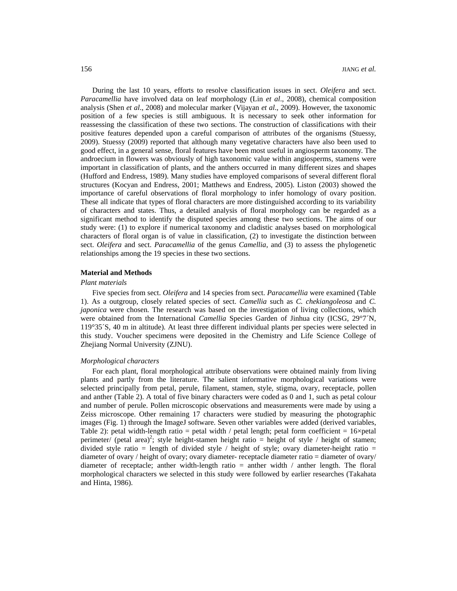During the last 10 years, efforts to resolve classification issues in sect. *Oleifera* and sect. *Paracamellia* have involved data on leaf morphology (Lin *et al*., 2008), chemical composition analysis (Shen *et al*., 2008) and molecular marker (Vijayan *et al*., 2009). However, the taxonomic position of a few species is still ambiguous. It is necessary to seek other information for reassessing the classification of these two sections. The construction of classifications with their positive features depended upon a careful comparison of attributes of the organisms (Stuessy, 2009). Stuessy (2009) reported that although many vegetative characters have also been used to good effect, in a general sense, floral features have been most useful in angiosperm taxonomy. The androecium in flowers was obviously of high taxonomic value within angiosperms, stamens were important in classification of plants, and the anthers occurred in many different sizes and shapes (Hufford and Endress, 1989). Many studies have employed comparisons of several different floral structures (Kocyan and Endress, 2001; Matthews and Endress, 2005). Liston (2003) showed the importance of careful observations of floral morphology to infer homology of ovary position. These all indicate that types of floral characters are more distinguished according to its variability of characters and states. Thus, a detailed analysis of floral morphology can be regarded as a significant method to identify the disputed species among these two sections. The aims of our study were: (1) to explore if numerical taxonomy and cladistic analyses based on morphological characters of floral organ is of value in classification, (2) to investigate the distinction between sect. *Oleifera* and sect. *Paracamellia* of the genus *Camellia*, and (3) to assess the phylogenetic relationships among the 19 species in these two sections.

### **Material and Methods**

#### *Plant materials*

Five species from sect. *Oleifera* and 14 species from sect. *Paracamellia* were examined (Table 1). As a outgroup, closely related species of sect. *Camellia* such as *C. chekiangoleosa* and *C. japonica* were chosen*.* The research was based on the investigation of living collections, which were obtained from the International *Camellia* Species Garden of Jinhua city (ICSG, 29°7´N, 119°35´S, 40 m in altitude). At least three different individual plants per species were selected in this study. Voucher specimens were deposited in the Chemistry and Life Science College of Zhejiang Normal University (ZJNU).

# *Morphological characters*

For each plant, floral morphological attribute observations were obtained mainly from living plants and partly from the literature. The salient informative morphological variations were selected principally from petal, perule, filament, stamen, style, stigma, ovary, receptacle, pollen and anther (Table 2). A total of five binary characters were coded as 0 and 1, such as petal colour and number of perule. Pollen microscopic observations and measurements were made by using a Zeiss microscope. Other remaining 17 characters were studied by measuring the photographic images (Fig. 1) through the ImageJ software. Seven other variables were added (derived variables, Table 2): petal width-length ratio = petal width / petal length; petal form coefficient =  $16 \times$ petal perimeter/ (petal area)<sup>2</sup>; style height-stamen height ratio = height of style / height of stamen; divided style ratio = length of divided style / height of style; ovary diameter-height ratio = diameter of ovary / height of ovary; ovary diameter- receptacle diameter ratio = diameter of ovary/ diameter of receptacle; anther width-length ratio = anther width / anther length. The floral morphological characters we selected in this study were followed by earlier researches (Takahata and Hinta, 1986).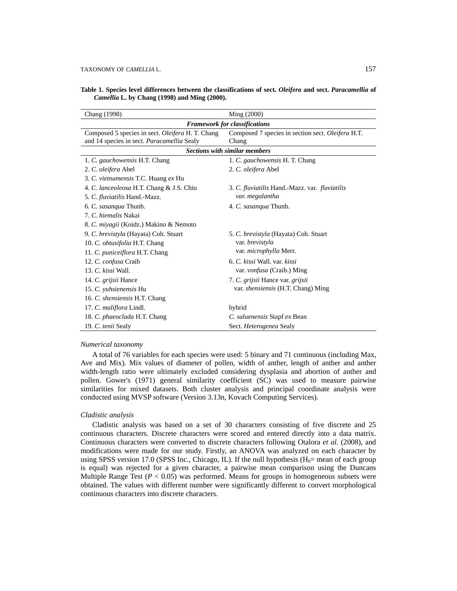**Table 1. Species level differences between the classifications of sect.** *Oleifera* **and sect.** *Paracamellia* **of**  *Camellia* **L. by Chang (1998) and Ming (2000).** 

| Chang (1998)                                                                                   | Ming (2000)                                                |  |
|------------------------------------------------------------------------------------------------|------------------------------------------------------------|--|
| <b>Framework for classifications</b>                                                           |                                                            |  |
| Composed 5 species in sect. Oleifera H. T. Chang<br>and 14 species in sect. Paracamellia Sealy | Composed 7 species in section sect. Oleifera H.T.<br>Chang |  |
| <b>Sections with similar members</b>                                                           |                                                            |  |
| 1. C. gauchowensis H.T. Chang                                                                  | 1. C. gauchowensis H. T. Chang                             |  |
| 2. C. oleifera Abel                                                                            | 2. C. oleifera Abel                                        |  |
| 3. C. vietnamensis T.C. Huang ex Hu                                                            |                                                            |  |
| 4. C. lanceoleosa H.T. Chang & J.S. Chiu                                                       | 3. C. fluviatilis Hand.-Mazz. var. fluviatilis             |  |
| 5. C. fluviatilis Hand.-Mazz.                                                                  | var. megalantha                                            |  |
| 6. C. sasanqua Thunb.                                                                          | 4. C. sasanqua Thunb.                                      |  |
| 7. C. hiemalis Nakai                                                                           |                                                            |  |
| 8. C. miyagii (Koidz.) Makino & Nemoto                                                         |                                                            |  |
| 9. C. brevistyla (Hayata) Coh. Stuart                                                          | 5. C. brevistyla (Hayata) Coh. Stuart                      |  |
| 10. C. obtusifolia H.T. Chang                                                                  | var. brevistyla                                            |  |
| 11. C. puniceiflora H.T. Chang                                                                 | var. <i>microphylla</i> Merr.                              |  |
| 12. C. confusa Craib                                                                           | 6. C. kissi Wall. var. kissi                               |  |
| 13. C. kissi Wall.                                                                             | var. vonfusa (Craib.) Ming                                 |  |
| 14. C. grijsii Hance                                                                           | 7. C. grijsii Hance var. grijsii                           |  |
| 15. C. yuhsienensis Hu                                                                         | var. shensiensis (H.T. Chang) Ming                         |  |
| 16. C. shensiensis H.T. Chang                                                                  |                                                            |  |
| 17. C. maliflora Lindl.                                                                        | hybrid                                                     |  |
| 18. C. phaeoclada H.T. Chang                                                                   | C. saluenensis Stapf ex Bean                               |  |
| 19. C. tenii Sealy                                                                             | Sect. Heterogenea Sealy                                    |  |

## *Numerical taxonomy*

A total of 76 variables for each species were used: 5 binary and 71 continuous (including Max, Ave and Mix). Mix values of diameter of pollen, width of anther, length of anther and anther width-length ratio were ultimately excluded considering dysplasia and abortion of anther and pollen. Gower's (1971) general similarity coefficient (SC) was used to measure pairwise similarities for mixed datasets. Both cluster analysis and principal coordinate analysis were conducted using MVSP software (Version 3.13n, Kovach Computing Services).

### *Cladistic analysis*

Cladistic analysis was based on a set of 30 characters consisting of five discrete and 25 continuous characters. Discrete characters were scored and entered directly into a data matrix. Continuous characters were converted to discrete characters following Otalora *et al*. (2008), and modifications were made for our study. Firstly, an ANOVA was analyzed on each character by using SPSS version 17.0 (SPSS Inc., Chicago, IL). If the null hypothesis  $(H<sub>0</sub>=$  mean of each group is equal) was rejected for a given character, a pairwise mean comparison using the Duncans Multiple Range Test  $(P < 0.05)$  was performed. Means for groups in homogeneous subsets were obtained. The values with different number were significantly different to convert morphological continuous characters into discrete characters.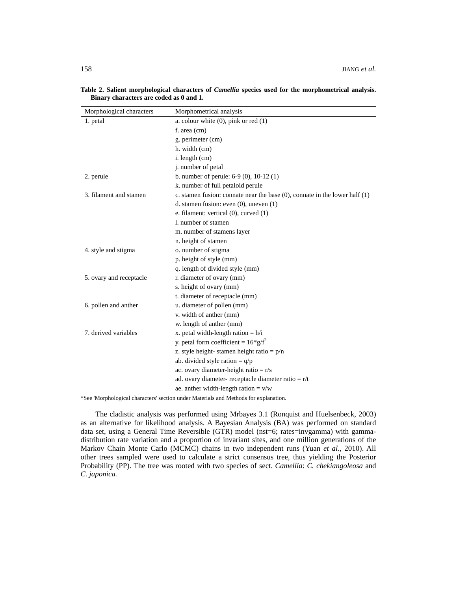| Morphological characters | Morphometrical analysis                                                         |
|--------------------------|---------------------------------------------------------------------------------|
| 1. petal                 | a. colour white $(0)$ , pink or red $(1)$                                       |
|                          | f. area (cm)                                                                    |
|                          | g. perimeter (cm)                                                               |
|                          | h. width (cm)                                                                   |
|                          | i. length (cm)                                                                  |
|                          | j. number of petal                                                              |
| 2. perule                | b. number of perule: $6-9(0)$ , $10-12(1)$                                      |
|                          | k. number of full petaloid perule                                               |
| 3. filament and stamen   | c. stamen fusion: connate near the base $(0)$ , connate in the lower half $(1)$ |
|                          | d. stamen fusion: even $(0)$ , uneven $(1)$                                     |
|                          | e. filament: vertical $(0)$ , curved $(1)$                                      |
|                          | 1. number of stamen                                                             |
|                          | m. number of stamens layer                                                      |
|                          | n. height of stamen                                                             |
| 4. style and stigma      | o. number of stigma                                                             |
|                          | p. height of style (mm)                                                         |
|                          | q. length of divided style (mm)                                                 |
| 5. ovary and receptacle  | r. diameter of ovary (mm)                                                       |
|                          | s. height of ovary (mm)                                                         |
|                          | t. diameter of receptacle (mm)                                                  |
| 6. pollen and anther     | u. diameter of pollen (mm)                                                      |
|                          | v. width of anther (mm)                                                         |
|                          | w. length of anther (mm)                                                        |
| 7. derived variables     | x. petal width-length ration $= h/i$                                            |
|                          | y. petal form coefficient = $16*g/f^2$                                          |
|                          | z. style height-stamen height ratio = $p/n$                                     |
|                          | ab. divided style ration = $q/p$                                                |
|                          | ac. ovary diameter-height ratio $= r/s$                                         |
|                          | ad. ovary diameter- receptacle diameter ratio = $r/t$                           |
|                          | ae. anther width-length ration = $v/w$                                          |

**Table 2. Salient morphological characters of** *Camellia* **species used for the morphometrical analysis. Binary characters are coded as 0 and 1.** 

\*See 'Morphological characters' section under Materials and Methods for explanation.

The cladistic analysis was performed using Mrbayes 3.1 (Ronquist and Huelsenbeck, 2003) as an alternative for likelihood analysis. A Bayesian Analysis (BA) was performed on standard data set, using a General Time Reversible (GTR) model (nst=6; rates=invgamma) with gammadistribution rate variation and a proportion of invariant sites, and one million generations of the Markov Chain Monte Carlo (MCMC) chains in two independent runs (Yuan *et al*., 2010). All other trees sampled were used to calculate a strict consensus tree, thus yielding the Posterior Probability (PP). The tree was rooted with two species of sect. *Camellia*: *C. chekiangoleosa* and *C. japonica.*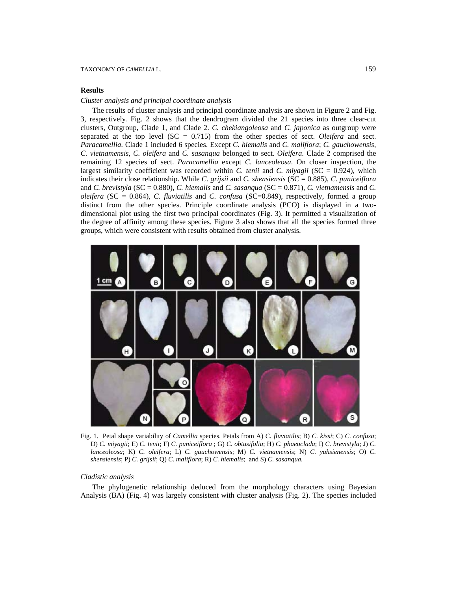### **Results**

## *Cluster analysis and principal coordinate analysis*

The results of cluster analysis and principal coordinate analysis are shown in Figure 2 and Fig. 3, respectively. Fig. 2 shows that the dendrogram divided the 21 species into three clear-cut clusters, Outgroup, Clade 1, and Clade 2. *C. chekiangoleosa* and *C. japonica* as outgroup were separated at the top level  $SC = 0.715$  from the other species of sect. *Oleifera* and sect. *Paracamellia.* Clade 1 included 6 species. Except *C. hiemalis* and *C. maliflora*; *C. gauchowensis*, *C. vietnamensis*, *C. oleifera* and *C. sasanqua* belonged to sect. *Oleifera.* Clade 2 comprised the remaining 12 species of sect. *Paracamellia* except *C. lanceoleosa*. On closer inspection, the largest similarity coefficient was recorded within *C. tenii* and *C. miyagii* (SC = 0.924), which indicates their close relationship. While *C. grijsii* and *C. shensiensis* (SC = 0.885), *C. puniceiflora* and *C. brevistyla* (SC = 0.880), *C. hiemalis* and *C. sasanqua* (SC = 0.871), *C. vietnamensis* and *C. oleifera* (SC = 0.864), *C. fluviatilis* and *C. confusa* (SC=0.849), respectively, formed a group distinct from the other species. Principle coordinate analysis (PCO) is displayed in a twodimensional plot using the first two principal coordinates (Fig. 3). It permitted a visualization of the degree of affinity among these species. Figure 3 also shows that all the species formed three groups, which were consistent with results obtained from cluster analysis.



Fig. 1. Petal shape variability of *Camellia* species. Petals from A) *C. fluviatilis*; B) *C. kissi*; C) *C. confusa*; D) *C. miyagii*; E) *C. tenii*; F) *C. puniceiflora* ; G) *C. obtusifolia*; H) *C. phaeoclada*; I) *C. brevistyla*; J) *C. lanceoleosa*; K) *C. oleifera*; L) *C. gauchowensis*; M) *C. vietnamensis*; N) *C. yuhsienensis*; O) *C. shensiensis*; P) *C. grijsii*; Q) *C. maliflora*; R) *C. hiemalis*; and S) *C. sasanqua.* 

# *Cladistic analysis*

The phylogenetic relationship deduced from the morphology characters using Bayesian Analysis (BA) (Fig. 4) was largely consistent with cluster analysis (Fig. 2). The species included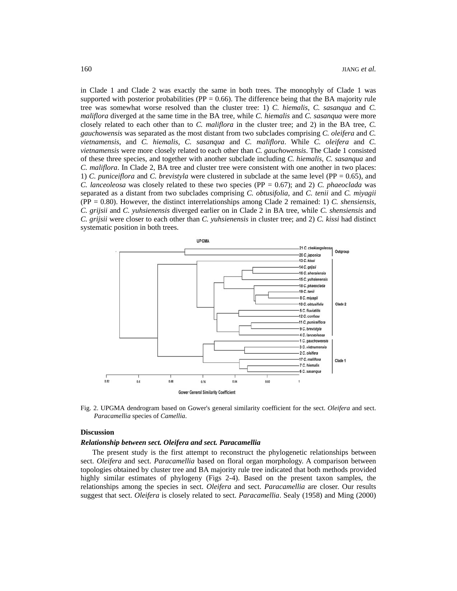in Clade 1 and Clade 2 was exactly the same in both trees. The monophyly of Clade 1 was supported with posterior probabilities ( $PP = 0.66$ ). The difference being that the BA majority rule tree was somewhat worse resolved than the cluster tree: 1) *C. hiemalis*, *C. sasanqua* and *C. maliflora* diverged at the same time in the BA tree, while *C. hiemalis* and *C. sasanqua* were more closely related to each other than to *C. maliflora* in the cluster tree; and 2) in the BA tree, *C. gauchowensis* was separated as the most distant from two subclades comprising *C. oleifera* and *C. vietnamensis*, and *C. hiemalis*, *C. sasanqua* and *C. maliflora*. While *C. oleifera* and *C. vietnamensis* were more closely related to each other than *C. gauchowensis*. The Clade 1 consisted of these three species, and together with another subclade including *C. hiemalis*, *C. sasanqua* and *C. maliflora*. In Clade 2, BA tree and cluster tree were consistent with one another in two places: 1) *C. puniceiflora* and *C. brevistyla* were clustered in subclade at the same level (PP = 0.65), and *C. lanceoleosa* was closely related to these two species (PP = 0.67); and 2) *C. phaeoclada* was separated as a distant from two subclades comprising *C. obtusifolia*, and *C. tenii* and *C. miyagii*  (PP = 0.80). However, the distinct interrelationships among Clade 2 remained: 1) *C. shensiensis*, *C. grijsii* and *C. yuhsienensis* diverged earlier on in Clade 2 in BA tree, while *C. shensiensis* and *C. grijsii* were closer to each other than *C. yuhsienensis* in cluster tree; and 2) *C. kissi* had distinct systematic position in both trees.



Fig. 2. UPGMA dendrogram based on Gower's general similarity coefficient for the sect. *Oleifera* and sect. *Paracamellia* species of *Camellia*.

### **Discussion**

#### *Relationship between sect. Oleifera and sect. Paracamellia*

 The present study is the first attempt to reconstruct the phylogenetic relationships between sect. *Oleifera* and sect. *Paracamellia* based on floral organ morphology. A comparison between topologies obtained by cluster tree and BA majority rule tree indicated that both methods provided highly similar estimates of phylogeny (Figs 2-4). Based on the present taxon samples, the relationships among the species in sect. *Oleifera* and sect. *Paracamellia* are closer. Our results suggest that sect. *Oleifera* is closely related to sect. *Paracamellia*. Sealy (1958) and Ming (2000)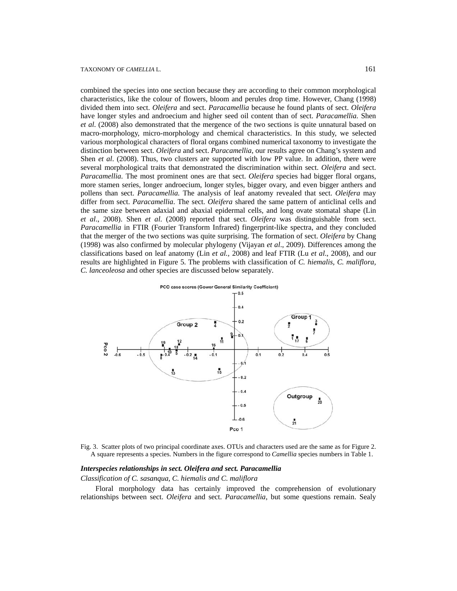combined the species into one section because they are according to their common morphological characteristics, like the colour of flowers, bloom and perules drop time. However, Chang (1998) divided them into sect. *Oleifera* and sect. *Paracamellia* because he found plants of sect. *Oleifera* have longer styles and androecium and higher seed oil content than of sect. *Paracamellia.* Shen *et al*. (2008) also demonstrated that the mergence of the two sections is quite unnatural based on macro-morphology, micro-morphology and chemical characteristics. In this study, we selected various morphological characters of floral organs combined numerical taxonomy to investigate the distinction between sect. *Oleifera* and sect. *Paracamellia*, our results agree on Chang's system and Shen *et al*. (2008). Thus, two clusters are supported with low PP value. In addition, there were several morphological traits that demonstrated the discrimination within sect. *Oleifera* and sect. *Paracamellia.* The most prominent ones are that sect. *Oleifera* species had bigger floral organs, more stamen series, longer androecium, longer styles, bigger ovary, and even bigger anthers and pollens than sect. *Paracamellia.* The analysis of leaf anatomy revealed that sect. *Oleifera* may differ from sect. *Paracamellia*. The sect. *Oleifera* shared the same pattern of anticlinal cells and the same size between adaxial and abaxial epidermal cells, and long ovate stomatal shape (Lin *et al*., 2008). Shen *et al*. (2008) reported that sect. *Oleifera* was distinguishable from sect. *Paracamellia* in FTIR (Fourier Transform Infrared) fingerprint-like spectra, and they concluded that the merger of the two sections was quite surprising. The formation of sect. *Oleifera* by Chang (1998) was also confirmed by molecular phylogeny (Vijayan *et al*., 2009). Differences among the classifications based on leaf anatomy (Lin *et al.,* 2008) and leaf FTIR (Lu *et al*., 2008), and our results are highlighted in Figure 5. The problems with classification of *C. hiemalis, C. maliflora, C. lanceoleosa* and other species are discussed below separately.





### *Interspecies relationships in sect. Oleifera and sect. Paracamellia*

*Classification of C. sasanqua, C. hiemalis and C. maliflora* 

Floral morphology data has certainly improved the comprehension of evolutionary relationships between sect. *Oleifera* and sect. *Paracamellia*, but some questions remain. Sealy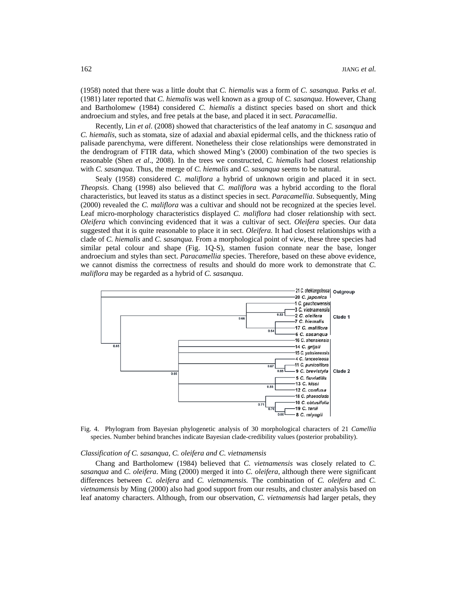(1958) noted that there was a little doubt that *C. hiemalis* was a form of *C. sasanqua.* Parks *et al*. (1981) later reported that *C. hiemalis* was well known as a group of *C. sasanqua*. However, Chang and Bartholomew (1984) considered *C. hiemalis* a distinct species based on short and thick androecium and styles, and free petals at the base, and placed it in sect. *Paracamellia*.

Recently, Lin *et al*. (2008) showed that characteristics of the leaf anatomy in *C. sasanqua* and *C. hiemalis*, such as stomata, size of adaxial and abaxial epidermal cells, and the thickness ratio of palisade parenchyma, were different. Nonetheless their close relationships were demonstrated in the dendrogram of FTIR data, which showed Ming's (2000) combination of the two species is reasonable (Shen *et al*., 2008). In the trees we constructed, *C. hiemalis* had closest relationship with *C. sasanqua.* Thus, the merge of *C. hiemalis* and *C. sasanqua* seems to be natural.

Sealy (1958) considered *C. maliflora* a hybrid of unknown origin and placed it in sect. *Theopsis*. Chang (1998) also believed that *C. maliflora* was a hybrid according to the floral characteristics, but leaved its status as a distinct species in sect. *Paracamellia*. Subsequently, Ming (2000) revealed the *C. maliflora* was a cultivar and should not be recognized at the species level. Leaf micro-morphology characteristics displayed *C. maliflora* had closer relationship with sect. *Oleifera* which convincing evidenced that it was a cultivar of sect. *Oleifera* species. Our data suggested that it is quite reasonable to place it in sect. *Oleifera.* It had closest relationships with a clade of *C. hiemalis* and *C. sasanqua.* From a morphological point of view, these three species had similar petal colour and shape (Fig. 1Q-S), stamen fusion connate near the base, longer androecium and styles than sect. *Paracamellia* species. Therefore, based on these above evidence, we cannot dismiss the correctness of results and should do more work to demonstrate that *C. maliflora* may be regarded as a hybrid of *C. sasanqua*.



Fig. 4.Phylogram from Bayesian phylogenetic analysis of 30 morphological characters of 21 *Camellia* species. Number behind branches indicate Bayesian clade-credibility values (posterior probability).

#### *Classification of C. sasanqua, C. oleifera and C. vietnamensis*

Chang and Bartholomew (1984) believed that *C. vietnamensis* was closely related to *C. sasanqua* and *C. oleifera*. Ming (2000) merged it into *C. oleifera*, although there were significant differences between *C. oleifera* and *C. vietnamensis.* The combination of *C. oleifera* and *C. vietnamensis* by Ming (2000) also had good support from our results, and cluster analysis based on leaf anatomy characters. Although, from our observation, *C. vietnamensis* had larger petals, they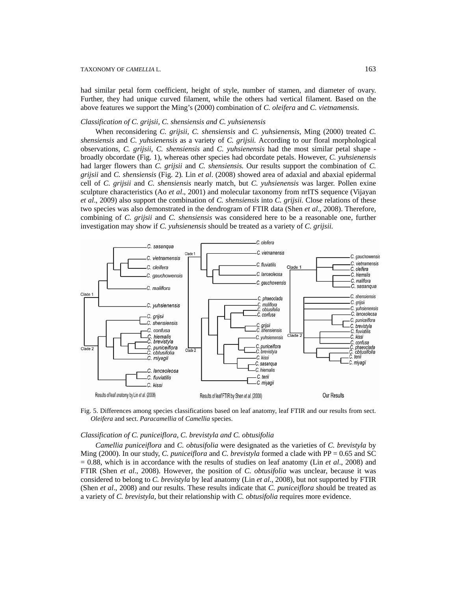#### TAXONOMY OF *CAMELLIA* L. 163

had similar petal form coefficient, height of style, number of stamen, and diameter of ovary. Further, they had unique curved filament, while the others had vertical filament*.* Based on the above features we support the Ming's (2000) combination of *C. oleifera* and *C. vietnamensis*.

# *Classification of C. grijsii, C. shensiensis and C. yuhsienensis*

When reconsidering *C. grijsii, C. shensiensis* and *C. yuhsienensis*, Ming (2000) treated *C. shensiensis* and *C. yuhsienensis* as a variety of *C. grijsii.* According to our floral morphological observations, *C. grijsii*, *C. shensiensis* and *C. yuhsienensis* had the most similar petal shape broadly obcordate (Fig. 1), whereas other species had obcordate petals. However, *C. yuhsienensis*  had larger flowers than *C. grijsii* and *C. shensiensis.* Our results support the combination of *C. grijsii* and *C. shensiensis* (Fig. 2)*.* Lin *et al*. (2008) showed area of adaxial and abaxial epidermal cell of *C. grijsii* and *C. shensiensis* nearly match, but *C. yuhsienensis* was larger. Pollen exine sculpture characteristics (Ao *et al*., 2001) and molecular taxonomy from nrITS sequence (Vijayan *et al*., 2009) also support the combination of *C. shensiensis* into *C. grijsii.* Close relations of these two species was also demonstrated in the dendrogram of FTIR data (Shen *et al*., 2008). Therefore, combining of *C. grijsii* and *C. shensiensis* was considered here to be a reasonable one, further investigation may show if *C. yuhsienensis* should be treated as a variety of *C. grijsii.* 



Fig. 5. Differences among species classifications based on leaf anatomy, leaf FTIR and our results from sect. *Oleifera* and sect. *Paracamellia* of *Camellia* species.

# *Classification of C. puniceiflora, C. brevistyla and C. obtusifolia*

*Camellia puniceiflora* and *C. obtusifolia* were designated as the varieties of *C. brevistyla* by Ming (2000). In our study, *C. puniceiflora* and *C. brevistyla* formed a clade with PP = 0.65 and SC = 0.88, which is in accordance with the results of studies on leaf anatomy (Lin *et al*., 2008) and FTIR (Shen *et al*., 2008). However, the position of *C. obtusifolia* was unclear, because it was considered to belong to *C. brevistyla* by leaf anatomy (Lin *et al*., 2008), but not supported by FTIR (Shen *et al*., 2008) and our results. These results indicate that *C. puniceiflora* should be treated as a variety of *C. brevistyla,* but their relationship with *C. obtusifolia* requires more evidence.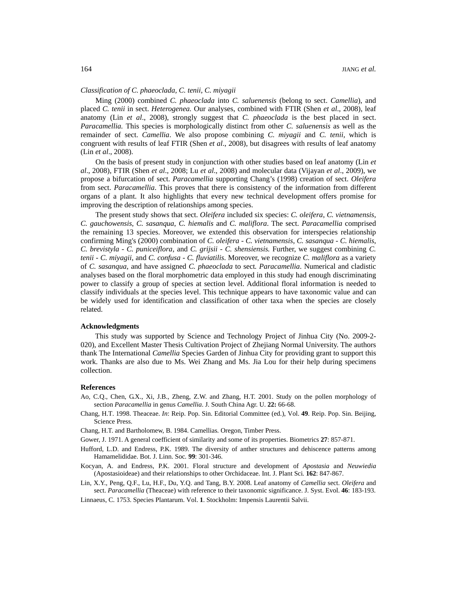# *Classification of C. phaeoclada, C. tenii, C. miyagii*

Ming (2000) combined *C. phaeoclada* into *C. saluenensis* (belong to sect. *Camellia*), and placed *C. tenii* in sect. *Heterogenea.* Our analyses, combined with FTIR (Shen *et al*., 2008), leaf anatomy (Lin *et al*., 2008), strongly suggest that *C. phaeoclada* is the best placed in sect. *Paracamellia.* This species is morphologically distinct from other *C. saluenensis* as well as the remainder of sect. *Camellia*. We also propose combining *C. miyagii* and *C. tenii,* which is congruent with results of leaf FTIR (Shen *et al*., 2008), but disagrees with results of leaf anatomy (Lin *et al*., 2008).

On the basis of present study in conjunction with other studies based on leaf anatomy (Lin *et al*., 2008), FTIR (Shen *et al*., 2008; Lu *et al*., 2008) and molecular data (Vijayan *et al*., 2009), we propose a bifurcation of sect. *Paracamellia* supporting Chang's (1998) creation of sect. *Oleifera*  from sect. *Paracamellia*. This proves that there is consistency of the information from different organs of a plant. It also highlights that every new technical development offers promise for improving the description of relationships among species.

The present study shows that sect. *Oleifera* included six species: *C. oleifera*, *C. vietnamensis*, *C. gauchowensis*, *C. sasanqua*, *C. hiemalis* and *C. maliflora*. The sect. *Paracamellia* comprised the remaining 13 species. Moreover, we extended this observation for interspecies relationship confirming Ming's (2000) combination of *C. oleifera* - *C. vietnamensis*, *C. sasanqua* - *C. hiemalis*, *C. brevistyla* - *C. puniceiflora*, and *C. grijsii* - *C. shensiensis.* Further, we suggest combining *C. tenii* - *C. miyagii*, and *C. confusa* - *C. fluviatilis*. Moreover, we recognize *C. maliflora* as a variety of *C. sasanqua*, and have assigned *C. phaeoclada* to sect*. Paracamellia*. Numerical and cladistic analyses based on the floral morphometric data employed in this study had enough discriminating power to classify a group of species at section level. Additional floral information is needed to classify individuals at the species level. This technique appears to have taxonomic value and can be widely used for identification and classification of other taxa when the species are closely related.

#### **Acknowledgments**

This study was supported by Science and Technology Project of Jinhua City (No. 2009-2- 020), and Excellent Master Thesis Cultivation Project of Zhejiang Normal University. The authors thank The International *Camellia* Species Garden of Jinhua City for providing grant to support this work. Thanks are also due to Ms. Wei Zhang and Ms. Jia Lou for their help during specimens collection.

#### **References**

- Ao, C.Q., Chen, G.X., Xi, J.B., Zheng, Z.W. and Zhang, H.T. 2001. Study on the pollen morphology of section *Paracamellia* in genus *Camellia*. J. South China Agr. U. **22:** 66-68.
- Chang, H.T. 1998. Theaceae. *In*: Reip. Pop. Sin. Editorial Committee (ed.), Vol. **49**. Reip. Pop. Sin. Beijing, Science Press.
- Chang, H.T. and Bartholomew, B. 1984. Camellias. Oregon, Timber Press.
- Gower, J. 1971. A general coefficient of similarity and some of its properties. Biometrics **27**: 857-871.
- Hufford, L.D. and Endress, P.K. 1989. The diversity of anther structures and dehiscence patterns among Hamamelididae. Bot. J. Linn. Soc*.* **99**: 301-346.
- Kocyan, A. and Endress, P.K. 2001. Floral structure and development of *Apostasia* and *Neuwiedia* (Apostasioideae) and their relationships to other Orchidaceae. Int. J. Plant Sci*.* **162**: 847-867.
- Lin, X.Y., Peng, Q.F., Lu, H.F., Du, Y.Q. and Tang, B.Y. 2008. Leaf anatomy of *Camellia* sect. *Oleifera* and sect. *Paracamellia* (Theaceae) with reference to their taxonomic significance. J. Syst. Evol. **46**: 183-193. Linnaeus, C. 1753. Species Plantarum. Vol. **1**. Stockholm: Impensis Laurentii Salvii.